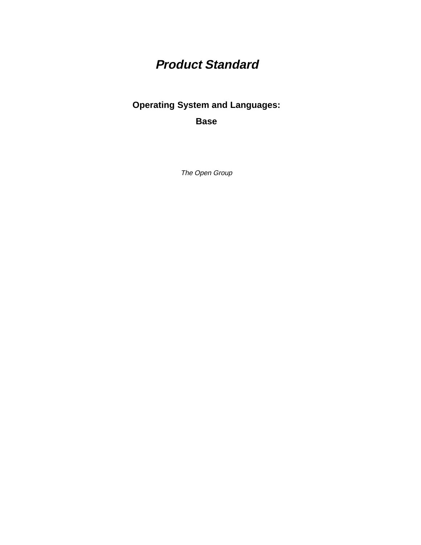# **Product Standard**

### **Operating System and Languages:**

**Base**

The Open Group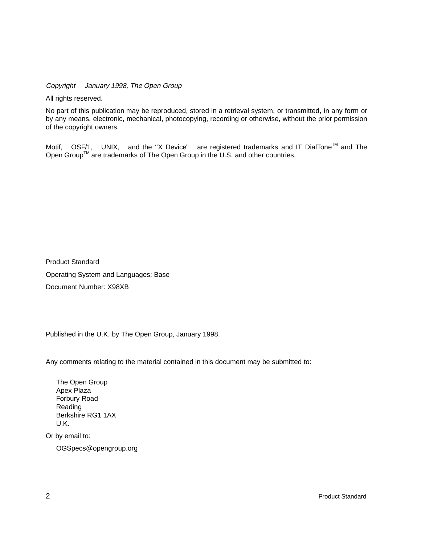Copyright  $\odot$  January 1998, The Open Group

All rights reserved.

No part of this publication may be reproduced, stored in a retrieval system, or transmitted, in any form or by any means, electronic, mechanical, photocopying, recording or otherwise, without the prior permission of the copyright owners.

Motif,  $^{\circledR}$  OSF/1,  $^{\circledR}$  UNIX,  $^{\circledR}$  and the "X Device" $^{\circledR}$  are registered trademarks and IT DialTone<sup>TM</sup> and The Open Group<sup>TM</sup> are trademarks of The Open Group in the U.S. and other countries.

Product Standard Operating System and Languages: Base Document Number: X98XB

Published in the U.K. by The Open Group, January 1998.

Any comments relating to the material contained in this document may be submitted to:

The Open Group Apex Plaza Forbury Road Reading Berkshire RG1 1AX U.K.

Or by email to:

OGSpecs@opengroup.org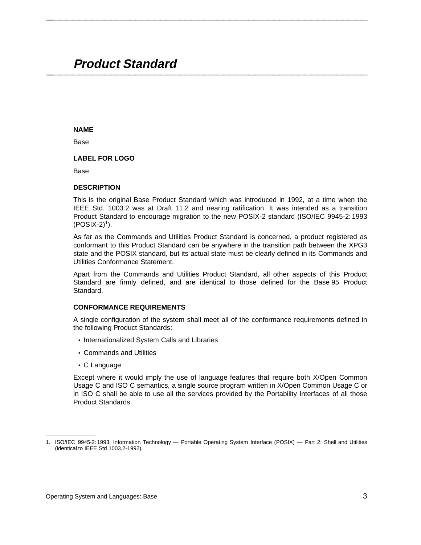## **Product Standard \_\_\_\_\_\_\_\_\_\_\_\_\_\_\_\_\_\_\_\_\_\_\_\_\_\_\_\_\_\_\_\_\_\_\_\_\_\_\_\_\_\_\_\_\_\_\_\_\_\_\_\_**

#### **NAME**

Base

#### **LABEL FOR LOGO**

Base.

#### **DESCRIPTION**

This is the original Base Product Standard which was introduced in 1992, at a time when the IEEE Std. 1003.2 was at Draft 11.2 and nearing ratification. It was intended as a transition Product Standard to encourage migration to the new POSIX-2 standard (ISO/IEC 9945-2: 1993  $(POSIX-2)^{1}$ ).

**\_\_\_\_\_\_\_\_\_\_\_\_\_\_\_\_\_\_\_\_\_\_\_\_\_\_\_\_\_\_\_\_\_\_\_\_\_\_\_\_\_\_\_\_\_\_\_\_\_\_\_\_**

As far as the Commands and Utilities Product Standard is concerned, a product registered as conformant to this Product Standard can be anywhere in the transition path between the XPG3 state and the POSIX standard, but its actual state must be clearly defined in its Commands and Utilities Conformance Statement.

Apart from the Commands and Utilities Product Standard, all other aspects of this Product Standard are firmly defined, and are identical to those defined for the Base 95 Product Standard.

#### **CONFORMANCE REQUIREMENTS**

A single configuration of the system shall meet all of the conformance requirements defined in the following Product Standards:

- Internationalized System Calls and Libraries
- Commands and Utilities
- C Language

\_\_\_\_\_\_\_\_\_\_\_\_\_\_\_\_\_\_

Except where it would imply the use of language features that require both X/Open Common Usage C and ISO C semantics, a single source program written in X/Open Common Usage C or in ISO C shall be able to use all the services provided by the Portability Interfaces of all those Product Standards.

<sup>1.</sup> ISO/IEC 9945-2: 1993, Information Technology — Portable Operating System Interface (POSIX) — Part 2: Shell and Utilities (identical to IEEE Std 1003.2-1992).